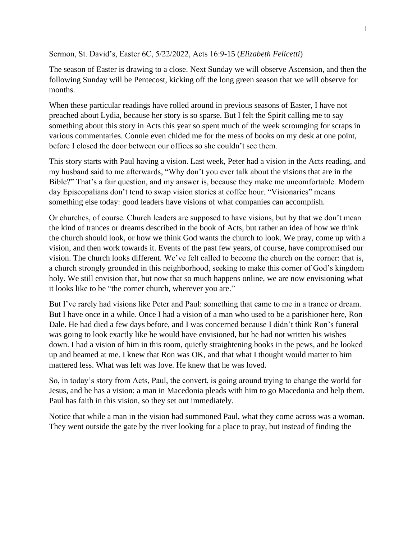Sermon, St. David's, Easter 6C, 5/22/2022, Acts 16:9-15 (*Elizabeth Felicetti*)

The season of Easter is drawing to a close. Next Sunday we will observe Ascension, and then the following Sunday will be Pentecost, kicking off the long green season that we will observe for months.

When these particular readings have rolled around in previous seasons of Easter, I have not preached about Lydia, because her story is so sparse. But I felt the Spirit calling me to say something about this story in Acts this year so spent much of the week scrounging for scraps in various commentaries. Connie even chided me for the mess of books on my desk at one point, before I closed the door between our offices so she couldn't see them.

This story starts with Paul having a vision. Last week, Peter had a vision in the Acts reading, and my husband said to me afterwards, "Why don't you ever talk about the visions that are in the Bible?" That's a fair question, and my answer is, because they make me uncomfortable. Modern day Episcopalians don't tend to swap vision stories at coffee hour. "Visionaries" means something else today: good leaders have visions of what companies can accomplish.

Or churches, of course. Church leaders are supposed to have visions, but by that we don't mean the kind of trances or dreams described in the book of Acts, but rather an idea of how we think the church should look, or how we think God wants the church to look. We pray, come up with a vision, and then work towards it. Events of the past few years, of course, have compromised our vision. The church looks different. We've felt called to become the church on the corner: that is, a church strongly grounded in this neighborhood, seeking to make this corner of God's kingdom holy. We still envision that, but now that so much happens online, we are now envisioning what it looks like to be "the corner church, wherever you are."

But I've rarely had visions like Peter and Paul: something that came to me in a trance or dream. But I have once in a while. Once I had a vision of a man who used to be a parishioner here, Ron Dale. He had died a few days before, and I was concerned because I didn't think Ron's funeral was going to look exactly like he would have envisioned, but he had not written his wishes down. I had a vision of him in this room, quietly straightening books in the pews, and he looked up and beamed at me. I knew that Ron was OK, and that what I thought would matter to him mattered less. What was left was love. He knew that he was loved.

So, in today's story from Acts, Paul, the convert, is going around trying to change the world for Jesus, and he has a vision: a man in Macedonia pleads with him to go Macedonia and help them. Paul has faith in this vision, so they set out immediately.

Notice that while a man in the vision had summoned Paul, what they come across was a woman. They went outside the gate by the river looking for a place to pray, but instead of finding the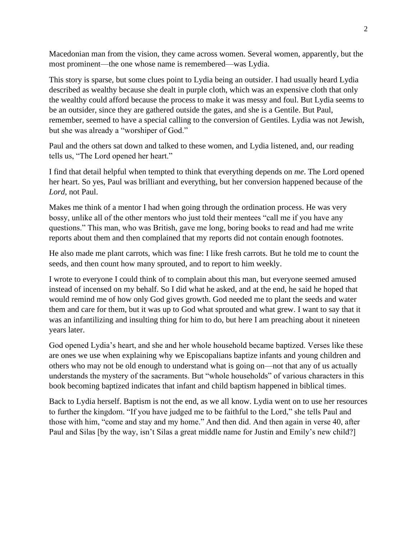Macedonian man from the vision, they came across women. Several women, apparently, but the most prominent—the one whose name is remembered—was Lydia.

This story is sparse, but some clues point to Lydia being an outsider. I had usually heard Lydia described as wealthy because she dealt in purple cloth, which was an expensive cloth that only the wealthy could afford because the process to make it was messy and foul. But Lydia seems to be an outsider, since they are gathered outside the gates, and she is a Gentile. But Paul, remember, seemed to have a special calling to the conversion of Gentiles. Lydia was not Jewish, but she was already a "worshiper of God."

Paul and the others sat down and talked to these women, and Lydia listened, and, our reading tells us, "The Lord opened her heart."

I find that detail helpful when tempted to think that everything depends on *me*. The Lord opened her heart. So yes, Paul was brilliant and everything, but her conversion happened because of the *Lord*, not Paul.

Makes me think of a mentor I had when going through the ordination process. He was very bossy, unlike all of the other mentors who just told their mentees "call me if you have any questions." This man, who was British, gave me long, boring books to read and had me write reports about them and then complained that my reports did not contain enough footnotes.

He also made me plant carrots, which was fine: I like fresh carrots. But he told me to count the seeds, and then count how many sprouted, and to report to him weekly.

I wrote to everyone I could think of to complain about this man, but everyone seemed amused instead of incensed on my behalf. So I did what he asked, and at the end, he said he hoped that would remind me of how only God gives growth. God needed me to plant the seeds and water them and care for them, but it was up to God what sprouted and what grew. I want to say that it was an infantilizing and insulting thing for him to do, but here I am preaching about it nineteen years later.

God opened Lydia's heart, and she and her whole household became baptized. Verses like these are ones we use when explaining why we Episcopalians baptize infants and young children and others who may not be old enough to understand what is going on—not that any of us actually understands the mystery of the sacraments. But "whole households" of various characters in this book becoming baptized indicates that infant and child baptism happened in biblical times.

Back to Lydia herself. Baptism is not the end, as we all know. Lydia went on to use her resources to further the kingdom. "If you have judged me to be faithful to the Lord," she tells Paul and those with him, "come and stay and my home." And then did. And then again in verse 40, after Paul and Silas [by the way, isn't Silas a great middle name for Justin and Emily's new child?]